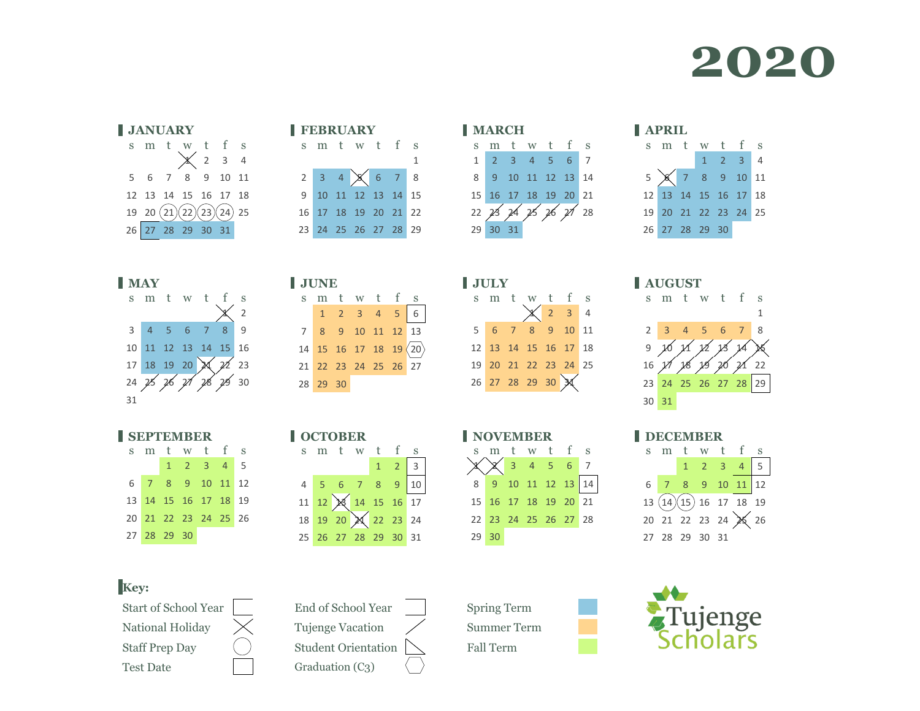## 



| <b>FEBRUARY</b> |  |  |  |  |                                                                                       |   |  |  |  |  |  |
|-----------------|--|--|--|--|---------------------------------------------------------------------------------------|---|--|--|--|--|--|
|                 |  |  |  |  | sm tw t f s                                                                           |   |  |  |  |  |  |
|                 |  |  |  |  |                                                                                       | 1 |  |  |  |  |  |
|                 |  |  |  |  | $2 \begin{array}{ c c c c c } \hline 3 & 4 & \times & 6 & 7 & 8 \ \hline \end{array}$ |   |  |  |  |  |  |
|                 |  |  |  |  | 9 10 11 12 13 14 15                                                                   |   |  |  |  |  |  |
|                 |  |  |  |  | 16 17 18 19 20 21 22                                                                  |   |  |  |  |  |  |
|                 |  |  |  |  | 23 24 25 26 27 28 29                                                                  |   |  |  |  |  |  |

| <b>JANUARY</b>                    |  |             | <b>FEBRUARY</b>                                          |  |  |  | <b>MARCH</b>         |  |  | <b>APRIL</b> |              |  |
|-----------------------------------|--|-------------|----------------------------------------------------------|--|--|--|----------------------|--|--|--------------|--------------|--|
| sm tw t f s                       |  | sm tw t f s |                                                          |  |  |  | smtwtfs              |  |  |              | s m t        |  |
| $\times$ 2 3 4                    |  |             |                                                          |  |  |  | 1 2 3 4 5 6 7        |  |  |              |              |  |
| 5 6 7 8 9 10 11                   |  |             | $2 \quad 3 \quad 4 \quad \times \quad 6 \quad 7 \quad 8$ |  |  |  | 8 9 10 11 12 13 14   |  |  |              | $5 \times 7$ |  |
| 12 13 14 15 16 17 18              |  |             | 9 10 11 12 13 14 15                                      |  |  |  | 15 16 17 18 19 20 21 |  |  |              | 12 13 1      |  |
| $19\quad 20\ (21)(22)(23)(24)$ 25 |  |             | 16 17 18 19 20 21 22                                     |  |  |  | 22 23 24 25 26 21 28 |  |  |              | 19 20 2      |  |
| 26 27 28 29 30 31                 |  |             | 23 24 25 26 27 28 29                                     |  |  |  | 29 30 31             |  |  |              | 26 27 2      |  |

|   | <b>APRIL</b>   |  |  |                             |  |  |  |  |  |  |  |  |  |
|---|----------------|--|--|-----------------------------|--|--|--|--|--|--|--|--|--|
|   |                |  |  | sm tw tfs                   |  |  |  |  |  |  |  |  |  |
|   |                |  |  | $1 \quad 2 \quad 3 \quad 4$ |  |  |  |  |  |  |  |  |  |
| 5 |                |  |  | 7 8 9 10 11                 |  |  |  |  |  |  |  |  |  |
|   |                |  |  | 12 13 14 15 16 17 18        |  |  |  |  |  |  |  |  |  |
|   |                |  |  | 19 20 21 22 23 24 25        |  |  |  |  |  |  |  |  |  |
|   | 26 27 28 29 30 |  |  |                             |  |  |  |  |  |  |  |  |  |

|              | <b>MAY</b> |             |                      |                         |                  |
|--------------|------------|-------------|----------------------|-------------------------|------------------|
|              |            |             | sm tw t f            |                         | S                |
|              |            |             |                      |                         | $\overline{2}$   |
| $\mathbf{3}$ |            | 4 5 6 7     |                      | $\overline{\mathsf{R}}$ | 9                |
|              |            |             | 10 11 12 13 14 15 16 |                         |                  |
|              |            | 17 18 19 20 |                      |                         | $\frac{1}{23}$   |
| 24           |            | 2621        | 28                   |                         | $\frac{1}{9}$ 30 |
| 31           |            |             |                      |                         |                  |
|              |            |             |                      |                         |                  |

| <b>SEPTEMBER</b> |             |  |                                     |  |  |  |  |  |  |  |  |
|------------------|-------------|--|-------------------------------------|--|--|--|--|--|--|--|--|
|                  |             |  | sm tw tfs                           |  |  |  |  |  |  |  |  |
|                  |             |  | $1 \quad 2 \quad 3 \quad 4 \quad 5$ |  |  |  |  |  |  |  |  |
|                  |             |  | 6 7 8 9 10 11 12                    |  |  |  |  |  |  |  |  |
|                  |             |  | 13 14 15 16 17 18 19                |  |  |  |  |  |  |  |  |
|                  |             |  | 20 21 22 23 24 25 26                |  |  |  |  |  |  |  |  |
|                  | 27 28 29 30 |  |                                     |  |  |  |  |  |  |  |  |
|                  |             |  |                                     |  |  |  |  |  |  |  |  |

| <b>JUNE</b> |          |                      |  |  |  |  |  |  |  |  |  |  |
|-------------|----------|----------------------|--|--|--|--|--|--|--|--|--|--|
|             |          | sm tw t f s          |  |  |  |  |  |  |  |  |  |  |
|             |          |                      |  |  |  |  |  |  |  |  |  |  |
|             |          | 7 8 9 10 11 12 13    |  |  |  |  |  |  |  |  |  |  |
|             |          | 14 15 16 17 18 19 20 |  |  |  |  |  |  |  |  |  |  |
|             |          | 21 22 23 24 25 26 27 |  |  |  |  |  |  |  |  |  |  |
|             | 28 29 30 |                      |  |  |  |  |  |  |  |  |  |  |



| <b>JULY</b> |  |                            |  |  | <b>AUGUST</b> |                     |  |
|-------------|--|----------------------------|--|--|---------------|---------------------|--|
|             |  | sm tw t f s                |  |  |               | s m t               |  |
|             |  | $\chi$ 2 3 4               |  |  |               |                     |  |
|             |  | 5 6 7 8 9 10 11            |  |  |               | $2 \quad 3 \quad 4$ |  |
|             |  | 12  13  14  15  16  17  18 |  |  |               | 9 $10 \t M$ 1       |  |
|             |  | 19 20 21 22 23 24 25       |  |  |               | 16 27 28 2          |  |
|             |  | 26 27 28 29 30 $\chi$      |  |  |               | 23 24 25 2          |  |
|             |  |                            |  |  | $\sim$        | $\bigcap_{i=1}^n$   |  |

| <b>OCTOBER</b>       |  |                     | NOVEMBER                |       |                      |  |                    | DECEMBER |                       |                     |  |
|----------------------|--|---------------------|-------------------------|-------|----------------------|--|--------------------|----------|-----------------------|---------------------|--|
| sm tw t f s          |  |                     | sm tw tfs               |       |                      |  |                    |          | s m t w t             |                     |  |
|                      |  | $1 \quad 2 \quad 3$ | $\chi$ $\chi$ 3 4 5 6 7 |       |                      |  |                    |          |                       | $1 \quad 2 \quad 3$ |  |
| 4 5 6 7 8 9 10       |  |                     |                         |       |                      |  | 8 9 10 11 12 13 14 |          | 6 7 8 9 1             |                     |  |
| 11 12 14 15 16 17    |  |                     |                         |       | 15 16 17 18 19 20 21 |  |                    |          | $13\ (14)(15)\ 16\ 1$ |                     |  |
| 18 19 20 22 22 23 24 |  |                     |                         |       | 22 23 24 25 26 27 28 |  |                    |          | 20 21 22 23 2         |                     |  |
| 25 26 27 28 29 30 31 |  |                     |                         | 29 30 |                      |  |                    |          | 27 28 29 30 3         |                     |  |

s m t w t f s 3 4 5 6 7 8 10 11 12 13 14 15 17 18 19 20 21 22 24 25 26 27 28 29 31





Start of School Year End of School Year Spring Term National Holiday  $\chi$  Tujenge Vacation  $\chi$  Summer Term Staff Prep Day  $\bigcirc$  Student Orientation  $\bigwedge$  Fall Term Test Date Graduation (C3)

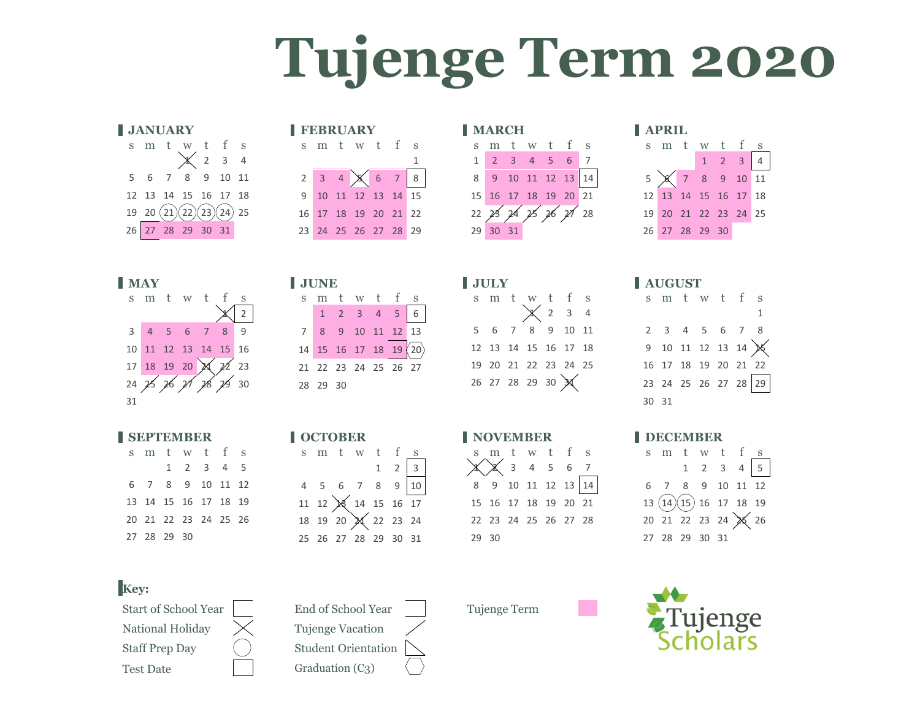# **Tujenge Term 2020**



|  | <b>JANUARY</b>       |              |                                         |  | <b>FEBRUARY</b>        |  |  |  | <b>MARCH</b> |                            |  |  | <b>APRIL</b> |              |  |
|--|----------------------|--------------|-----------------------------------------|--|------------------------|--|--|--|--------------|----------------------------|--|--|--------------|--------------|--|
|  | sm tw tfs            |              |                                         |  | sm tw tfs              |  |  |  | smtwtfs      |                            |  |  | s m t        |              |  |
|  |                      | $\chi$ 2 3 4 |                                         |  |                        |  |  |  |              | 1 2 3 4 5 6 7              |  |  |              |              |  |
|  | 5 6 7 8 9 10 11      |              |                                         |  | $2$ 3 4 $\times$ 6 7 8 |  |  |  |              | 8 9 10 11 12 13 14         |  |  |              | $5 \times 7$ |  |
|  | 12 13 14 15 16 17 18 |              |                                         |  | 9 10 11 12 13 14 15    |  |  |  |              | 15  16  17  18  19  20  21 |  |  |              | 12 13 1      |  |
|  |                      |              | $19$ 20 $\widehat{(21)(22)(23)(24)}$ 25 |  | 16 17 18 19 20 21 22   |  |  |  |              | 22 23 24 25 26 21 28       |  |  |              | 19 20 2      |  |
|  | 26 27 28 29 30 31    |              |                                         |  | 23 24 25 26 27 28 29   |  |  |  |              | 29 30 31                   |  |  |              | 26 27 2      |  |

| <b>MARCH</b> |    |    |                         |  |  |    |  |  |  |  |  |  |
|--------------|----|----|-------------------------|--|--|----|--|--|--|--|--|--|
|              |    |    | s m t w t f s           |  |  |    |  |  |  |  |  |  |
|              |    |    | $1 \t2 \t3 \t4 \t5 \t6$ |  |  |    |  |  |  |  |  |  |
|              |    |    | 8 9 10 11 12 13         |  |  | 14 |  |  |  |  |  |  |
|              |    |    | 15 16 17 18 19 20 21    |  |  |    |  |  |  |  |  |  |
|              |    |    | 22 23 24 25 26 21 28    |  |  |    |  |  |  |  |  |  |
| 29           | 30 | 31 |                         |  |  |    |  |  |  |  |  |  |

|                | <b>APRIL</b>   |  |  |                     |                      |  |  |  |  |  |  |  |  |
|----------------|----------------|--|--|---------------------|----------------------|--|--|--|--|--|--|--|--|
|                |                |  |  |                     | sm tw t f s          |  |  |  |  |  |  |  |  |
|                |                |  |  | $1 \quad 2 \quad 3$ |                      |  |  |  |  |  |  |  |  |
| 5 <sup>1</sup> |                |  |  |                     | 7 8 9 10 11          |  |  |  |  |  |  |  |  |
|                |                |  |  |                     | 12 13 14 15 16 17 18 |  |  |  |  |  |  |  |  |
|                |                |  |  |                     | 19 20 21 22 23 24 25 |  |  |  |  |  |  |  |  |
|                | 26 27 28 29 30 |  |  |                     |                      |  |  |  |  |  |  |  |  |

|                | <b>MAY</b>  |                             |                      |   |                  |
|----------------|-------------|-----------------------------|----------------------|---|------------------|
|                |             |                             | sm tw t f            |   | S                |
|                |             |                             |                      |   |                  |
| 3 <sup>7</sup> |             | 4 5 6 7                     |                      | 8 | q                |
|                |             |                             | 10 11 12 13 14 15 16 |   |                  |
|                | 17 18 19 20 |                             |                      |   | $\frac{23}{2}$   |
| 24             |             | $\cancel{26}$ $\cancel{27}$ |                      |   | $\frac{1}{9}$ 30 |
| 31             |             |                             |                      |   |                  |

| <b>SEPTEMBER</b> |             |  |                      |  |  |  |  |  |  |  |  |  |
|------------------|-------------|--|----------------------|--|--|--|--|--|--|--|--|--|
|                  |             |  | sm tw tfs            |  |  |  |  |  |  |  |  |  |
|                  |             |  | 1 2 3 4 5            |  |  |  |  |  |  |  |  |  |
|                  |             |  | 6 7 8 9 10 11 12     |  |  |  |  |  |  |  |  |  |
|                  |             |  | 13 14 15 16 17 18 19 |  |  |  |  |  |  |  |  |  |
|                  |             |  | 20 21 22 23 24 25 26 |  |  |  |  |  |  |  |  |  |
|                  | 27 28 29 30 |  |                      |  |  |  |  |  |  |  |  |  |
|                  |             |  |                      |  |  |  |  |  |  |  |  |  |

| I JUNE |                            |  |             |  |                                             |  |  |  |  |  |  |  |  |
|--------|----------------------------|--|-------------|--|---------------------------------------------|--|--|--|--|--|--|--|--|
|        |                            |  | sm tw t f s |  |                                             |  |  |  |  |  |  |  |  |
|        |                            |  |             |  | $1 \quad 2 \quad 3 \quad 4 \quad 5 \quad 6$ |  |  |  |  |  |  |  |  |
|        | 7 8 9 10 11 12 13          |  |             |  |                                             |  |  |  |  |  |  |  |  |
|        | $14$ 15 16 17 18 19 $(20)$ |  |             |  |                                             |  |  |  |  |  |  |  |  |
|        | 21 22 23 24 25 26 27       |  |             |  |                                             |  |  |  |  |  |  |  |  |
|        | 28 29 30                   |  |             |  |                                             |  |  |  |  |  |  |  |  |
|        |                            |  |             |  |                                             |  |  |  |  |  |  |  |  |

|  |  | sm tw t f s                                                                                                                                                                                  |  |  |  |  |  |  |  |  |  |  |
|--|--|----------------------------------------------------------------------------------------------------------------------------------------------------------------------------------------------|--|--|--|--|--|--|--|--|--|--|
|  |  |                                                                                                                                                                                              |  |  |  |  |  |  |  |  |  |  |
|  |  | $\begin{array}{ccccccccc} & & & & & & & 1 & & 2 & & 3 \\ & 4 & 5 & 6 & 7 & 8 & 9 & & 10 \\ & & 11 & 12 & \times & 14 & 15 & 16 & 17 \\ & & 18 & 19 & 20 & \times & 22 & 23 & 24 \end{array}$ |  |  |  |  |  |  |  |  |  |  |
|  |  |                                                                                                                                                                                              |  |  |  |  |  |  |  |  |  |  |
|  |  |                                                                                                                                                                                              |  |  |  |  |  |  |  |  |  |  |
|  |  | 25 26 27 28 29 30 31                                                                                                                                                                         |  |  |  |  |  |  |  |  |  |  |
|  |  |                                                                                                                                                                                              |  |  |  |  |  |  |  |  |  |  |

| <b>MAY</b> |  |                          |  | <b>JUNE</b>                         |  |  |                          | <b>JULY</b> |                                      |  |                |  | <b>AUGUST</b>       |                      |          |  |
|------------|--|--------------------------|--|-------------------------------------|--|--|--------------------------|-------------|--------------------------------------|--|----------------|--|---------------------|----------------------|----------|--|
|            |  | sm tw tfs                |  | smtwt fs                            |  |  |                          | sm tw t f s |                                      |  |                |  | s m t               |                      |          |  |
|            |  |                          |  | $1 \quad 2 \quad 3 \quad 4 \quad 5$ |  |  |                          |             |                                      |  | $\times$ 2 3 4 |  |                     |                      |          |  |
|            |  | 3 4 5 6 7 8 9            |  | 7 8 9 10 11 12 13                   |  |  |                          |             | 5 6 7 8 9 10 11                      |  |                |  | $2 \quad 3 \quad 4$ |                      |          |  |
|            |  | 10 11 12 13 14 15 16     |  |                                     |  |  | $14$ 15 16 17 18 19 (20) |             | 12 13 14 15 16 17 18                 |  |                |  |                     |                      | 9 10 11  |  |
|            |  | 17 18 19 20 $\chi$ 22 23 |  | 21 22 23 24 25 26 27                |  |  |                          |             | 19 20 21 22 23 24 25                 |  |                |  |                     |                      | 16 17 18 |  |
|            |  | 24 25 26 21 28 29 30     |  | 28 29 30                            |  |  |                          |             | 26 27 28 29 30 $\cancel{\cancel{3}}$ |  |                |  |                     |                      | 23 24 25 |  |
|            |  |                          |  |                                     |  |  |                          |             |                                      |  |                |  |                     | $\sim$ $\sim$ $\sim$ |          |  |

## **SEPTEMBER OCTOBER NOVEMBER DECEMBER**

|       | smtwtfs              |                    |  |                    |
|-------|----------------------|--------------------|--|--------------------|
|       |                      | $\times$ 3 4 5 6 7 |  |                    |
|       |                      |                    |  | 8 9 10 11 12 13 14 |
|       | 15 16 17 18 19 20 21 |                    |  |                    |
|       | 22 23 24 25 26 27 28 |                    |  |                    |
| 29 30 |                      |                    |  |                    |

|       | <b>AUGUST</b> |                                      |  |                      |
|-------|---------------|--------------------------------------|--|----------------------|
|       |               | s m t w t f s                        |  |                      |
|       |               |                                      |  | $\mathbf{1}$         |
|       |               | 2 3 4 5 6 7 8                        |  |                      |
|       |               | $9$ 10 11 12 13 14 $\cancel{\times}$ |  |                      |
|       |               | 16 17 18 19 20 21 22                 |  |                      |
|       |               |                                      |  | 23 24 25 26 27 28 29 |
| 30 31 |               |                                      |  |                      |





Start of School Year End of School Year Tujenge Term National Holiday  $\chi$  Tujenge Vacation Staff Prep Day  $\left( \begin{array}{c} \end{array} \right)$  Student Orientation Test Date  $\qquad \qquad$  Graduation (C3)